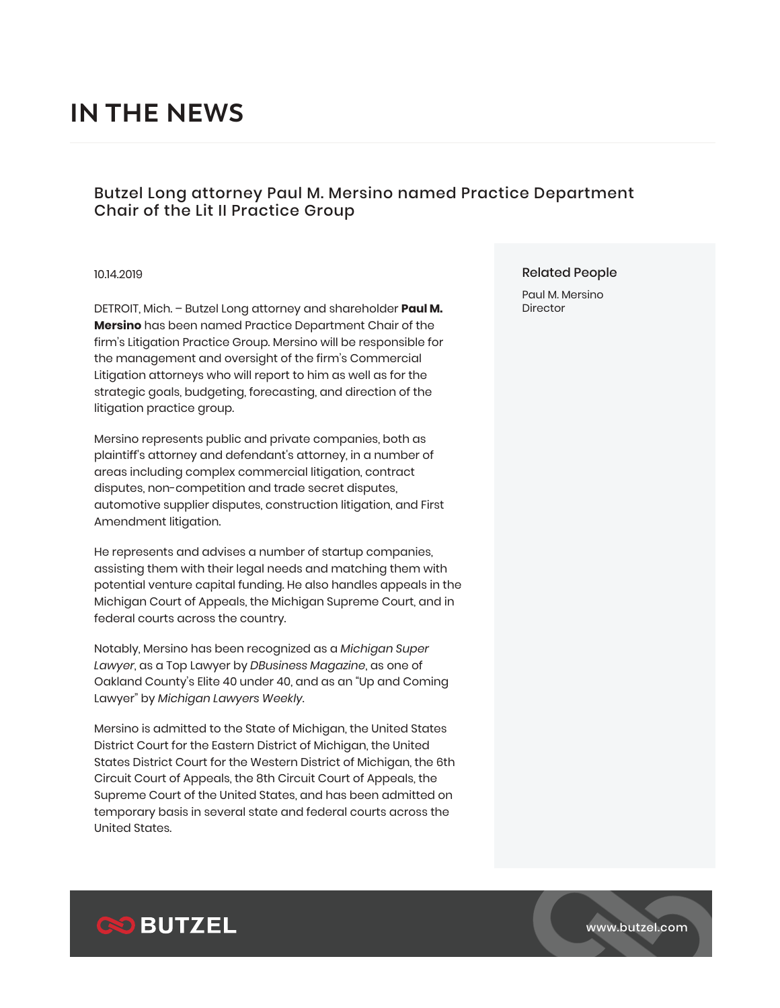# **IN THE NEWS**

## Butzel Long attorney Paul M. Mersino named Practice Department Chair of the Lit II Practice Group

#### 10.14.2019

DETROIT, Mich. – Butzel Long attorney and shareholder **Paul M. Mersino** has been named Practice Department Chair of the firm's Litigation Practice Group. Mersino will be responsible for the management and oversight of the firm's Commercial Litigation attorneys who will report to him as well as for the strategic goals, budgeting, forecasting, and direction of the litigation practice group.

Mersino represents public and private companies, both as plaintiff's attorney and defendant's attorney, in a number of areas including complex commercial litigation, contract disputes, non-competition and trade secret disputes, automotive supplier disputes, construction litigation, and First Amendment litigation.

He represents and advises a number of startup companies, assisting them with their legal needs and matching them with potential venture capital funding. He also handles appeals in the Michigan Court of Appeals, the Michigan Supreme Court, and in federal courts across the country.

Notably, Mersino has been recognized as a *Michigan Super Lawyer*, as a Top Lawyer by *DBusiness Magazine*, as one of Oakland County's Elite 40 under 40, and as an "Up and Coming Lawyer" by *Michigan Lawyers Weekly*.

Mersino is admitted to the State of Michigan, the United States District Court for the Eastern District of Michigan, the United States District Court for the Western District of Michigan, the 6th Circuit Court of Appeals, the 8th Circuit Court of Appeals, the Supreme Court of the United States, and has been admitted on temporary basis in several state and federal courts across the United States.

#### Related People

Paul M. Mersino **Director** 



www.butzel.com